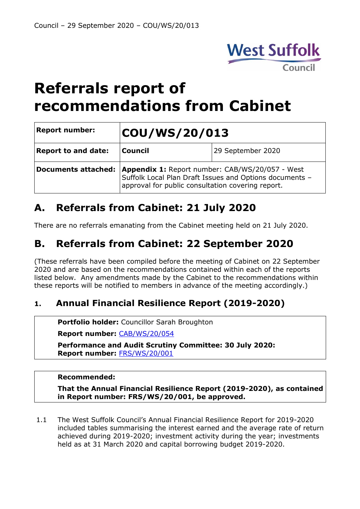

# **Referrals report of recommendations from Cabinet**

| <b>Report number:</b>      | COU/WS/20/013                                                                                                                                                          |                   |
|----------------------------|------------------------------------------------------------------------------------------------------------------------------------------------------------------------|-------------------|
| <b>Report to and date:</b> | <b>Council</b>                                                                                                                                                         | 29 September 2020 |
| <b>Documents attached:</b> | <b>Appendix 1: Report number: CAB/WS/20/057 - West</b><br>Suffolk Local Plan Draft Issues and Options documents -<br>approval for public consultation covering report. |                   |

# **A. Referrals from Cabinet: 21 July 2020**

There are no referrals emanating from the Cabinet meeting held on 21 July 2020.

# **B. Referrals from Cabinet: 22 September 2020**

(These referrals have been compiled before the meeting of Cabinet on 22 September 2020 and are based on the recommendations contained within each of the reports listed below. Any amendments made by the Cabinet to the recommendations within these reports will be notified to members in advance of the meeting accordingly.)

## **1. Annual Financial Resilience Report (2019-2020)**

**Portfolio holder:** Councillor Sarah Broughton

**Report number:** [CAB/WS/20/054](https://democracy.westsuffolk.gov.uk/documents/s38511/CAB.WS.20.054%20Recs%20of%20PASC%2030%20July%202020%20-%20Annual%20Financial%20Resilience%20Report%202019-2020.pdf)

**Performance and Audit Scrutiny Committee: 30 July 2020: Report number:** [FRS/WS/20/001](https://democracy.westsuffolk.gov.uk/documents/s37809/FRS.WS.20.001%20-%20Annual%20Financial%20Resilience%20Report%202019-2020.pdf)

#### **Recommended:**

**That the Annual Financial Resilience Report (2019-2020), as contained in Report number: FRS/WS/20/001, be approved.**

1.1 The West Suffolk Council's Annual Financial Resilience Report for 2019-2020 included tables summarising the interest earned and the average rate of return achieved during 2019-2020; investment activity during the year; investments held as at 31 March 2020 and capital borrowing budget 2019-2020.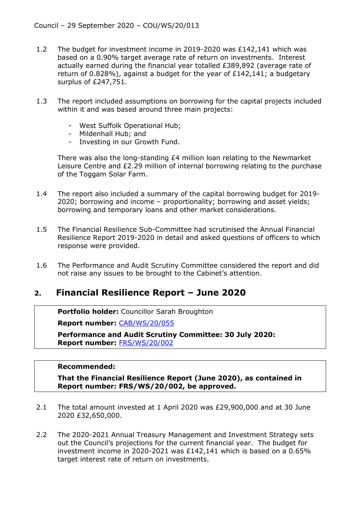- 1.2 The budget for investment income in 2019-2020 was £142,141 which was based on a 0.90% target average rate of return on investments. Interest actually earned during the financial year totalled £389,892 (average rate of return of 0.828%), against a budget for the year of £142,141; a budgetary surplus of £247,751.
- 1.3 The report included assumptions on borrowing for the capital projects included within it and was based around three main projects:
	- West Suffolk Operational Hub;
	- Mildenhall Hub; and
	- Investing in our Growth Fund.

There was also the long-standing  $E4$  million loan relating to the Newmarket Leisure Centre and £2.29 million of internal borrowing relating to the purchase of the Toggam Solar Farm.

- 1.4 The report also included a summary of the capital borrowing budget for 2019- 2020; borrowing and income – proportionality; borrowing and asset yields; borrowing and temporary loans and other market considerations.
- 1.5 The Financial Resilience Sub-Committee had scrutinised the Annual Financial Resilience Report 2019-2020 in detail and asked questions of officers to which response were provided.
- 1.6 The Performance and Audit Scrutiny Committee considered the report and did not raise any issues to be brought to the Cabinet's attention.

### **2. Financial Resilience Report – June 2020**

**Portfolio holder:** Councillor Sarah Broughton

**Report number:** [CAB/WS/20/055](https://democracy.westsuffolk.gov.uk/documents/s38512/CAB.WS.20.055%20Recs%20of%20PASC%2030%20July%202020%20-%20Financial%20Resilience%20Report%20-%20June%202020.pdf)

**Performance and Audit Scrutiny Committee: 30 July 2020: Report number:** [FRS/WS/20/002](https://democracy.westsuffolk.gov.uk/documents/s37810/FRS.WS.20.002%20-%20Financial%20Resilience%20-%20June%202020.pdf)

#### **Recommended:**

**That the Financial Resilience Report (June 2020), as contained in Report number: FRS/WS/20/002, be approved.**

- 2.1 The total amount invested at 1 April 2020 was £29,900,000 and at 30 June 2020 £32,650,000.
- 2.2 The 2020-2021 Annual Treasury Management and Investment Strategy sets out the Council's projections for the current financial year. The budget for investment income in 2020-2021 was £142,141 which is based on a 0.65% target interest rate of return on investments.